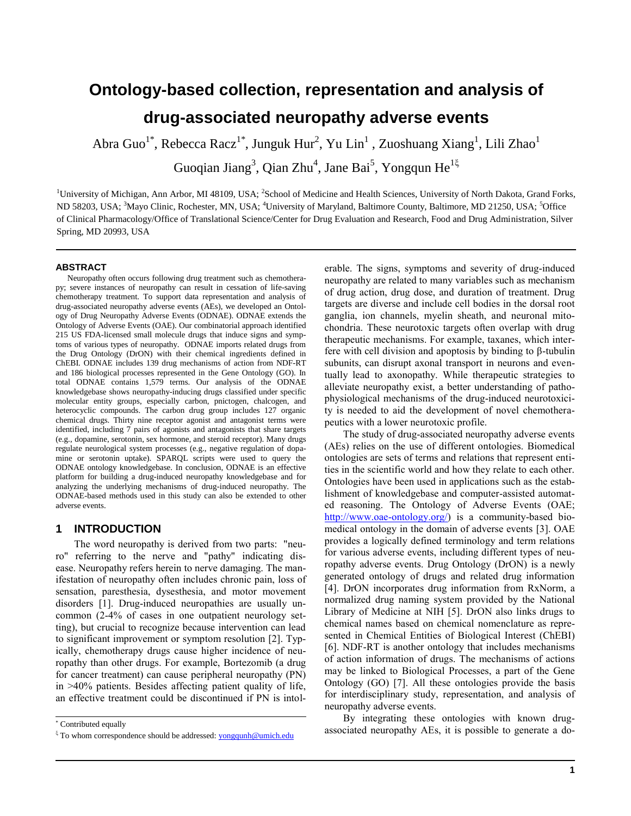# **Ontology-based collection, representation and analysis of drug-associated neuropathy adverse events**

Abra Guo $^{1*}$ , Rebecca Racz $^{1*}$ , Junguk Hur $^2$ , Yu Lin $^1$  , Zuoshuang Xiang $^1$ , Lili Zhao $^1$ 

Guoqian Jiang<sup>3</sup>, Qian Zhu<sup>4</sup>, Jane Bai<sup>5</sup>, Yongqun He<sup>1 $\xi$ </sup>

<sup>1</sup>University of Michigan, Ann Arbor, MI 48109, USA; <sup>2</sup>School of Medicine and Health Sciences, University of North Dakota, Grand Forks, ND 58203, USA; <sup>3</sup>Mayo Clinic, Rochester, MN, USA; <sup>4</sup>University of Maryland, Baltimore County, Baltimore, MD 21250, USA; <sup>5</sup>Office of Clinical Pharmacology/Office of Translational Science/Center for Drug Evaluation and Research, Food and Drug Administration, Silver Spring, MD 20993, USA

#### **ABSTRACT**

Neuropathy often occurs following drug treatment such as chemotherapy; severe instances of neuropathy can result in cessation of life-saving chemotherapy treatment. To support data representation and analysis of drug-associated neuropathy adverse events (AEs), we developed an Ontology of Drug Neuropathy Adverse Events (ODNAE). ODNAE extends the Ontology of Adverse Events (OAE). Our combinatorial approach identified 215 US FDA-licensed small molecule drugs that induce signs and symptoms of various types of neuropathy. ODNAE imports related drugs from the Drug Ontology (DrON) with their chemical ingredients defined in ChEBI. ODNAE includes 139 drug mechanisms of action from NDF-RT and 186 biological processes represented in the Gene Ontology (GO). In total ODNAE contains 1,579 terms. Our analysis of the ODNAE knowledgebase shows neuropathy-inducing drugs classified under specific molecular entity groups, especially carbon, pnictogen, chalcogen, and heterocyclic compounds. The carbon drug group includes 127 organic chemical drugs. Thirty nine receptor agonist and antagonist terms were identified, including 7 pairs of agonists and antagonists that share targets (e.g., dopamine, serotonin, sex hormone, and steroid receptor). Many drugs regulate neurological system processes (e.g., negative regulation of dopamine or serotonin uptake). SPARQL scripts were used to query the ODNAE ontology knowledgebase. In conclusion, ODNAE is an effective platform for building a drug-induced neuropathy knowledgebase and for analyzing the underlying mechanisms of drug-induced neuropathy. The ODNAE-based methods used in this study can also be extended to other adverse events.

## **1 INTRODUCTION**

The word neuropathy is derived from two parts: "neuro" referring to the nerve and "pathy" indicating disease. Neuropathy refers herein to nerve damaging. The manifestation of neuropathy often includes chronic pain, loss of sensation, paresthesia, dysesthesia, and motor movement disorders [1]. Drug-induced neuropathies are usually uncommon (2-4% of cases in one outpatient neurology setting), but crucial to recognize because intervention can lead to significant improvement or symptom resolution [2]. Typically, chemotherapy drugs cause higher incidence of neuropathy than other drugs. For example, Bortezomib (a drug for cancer treatment) can cause peripheral neuropathy (PN) in >40% patients. Besides affecting patient quality of life, an effective treatment could be discontinued if PN is intolerable. The signs, symptoms and severity of drug-induced neuropathy are related to many variables such as mechanism of drug action, drug dose, and duration of treatment. Drug targets are diverse and include cell bodies in the dorsal root ganglia, ion channels, myelin sheath, and neuronal mitochondria. These neurotoxic targets often overlap with drug therapeutic mechanisms. For example, taxanes, which interfere with cell division and apoptosis by binding to β-tubulin subunits, can disrupt axonal transport in neurons and eventually lead to axonopathy. While therapeutic strategies to alleviate neuropathy exist, a better understanding of pathophysiological mechanisms of the drug-induced neurotoxicity is needed to aid the development of novel chemotherapeutics with a lower neurotoxic profile.

The study of drug-associated neuropathy adverse events (AEs) relies on the use of different ontologies. Biomedical ontologies are sets of terms and relations that represent entities in the scientific world and how they relate to each other. Ontologies have been used in applications such as the establishment of knowledgebase and computer-assisted automated reasoning. The Ontology of Adverse Events (OAE; [http://www.oae-ontology.org/\)](http://www.oae-ontology.org/) is a community-based biomedical ontology in the domain of adverse events [3]. OAE provides a logically defined terminology and term relations for various adverse events, including different types of neuropathy adverse events. Drug Ontology (DrON) is a newly generated ontology of drugs and related drug information [4]. DrON incorporates drug information from RxNorm, a normalized drug naming system provided by the National Library of Medicine at NIH [5]. DrON also links drugs to chemical names based on chemical nomenclature as represented in Chemical Entities of Biological Interest (ChEBI) [6]. NDF-RT is another ontology that includes mechanisms of action information of drugs. The mechanisms of actions may be linked to Biological Processes, a part of the Gene Ontology (GO) [7]. All these ontologies provide the basis for interdisciplinary study, representation, and analysis of neuropathy adverse events.

By integrating these ontologies with known drugassociated neuropathy AEs, it is possible to generate a do-

<sup>\*</sup> Contributed equally

 $\frac{1}{2}$  To whom correspondence should be addressed[: yongqunh@umich.edu](mailto:yongqunh@umich.edu)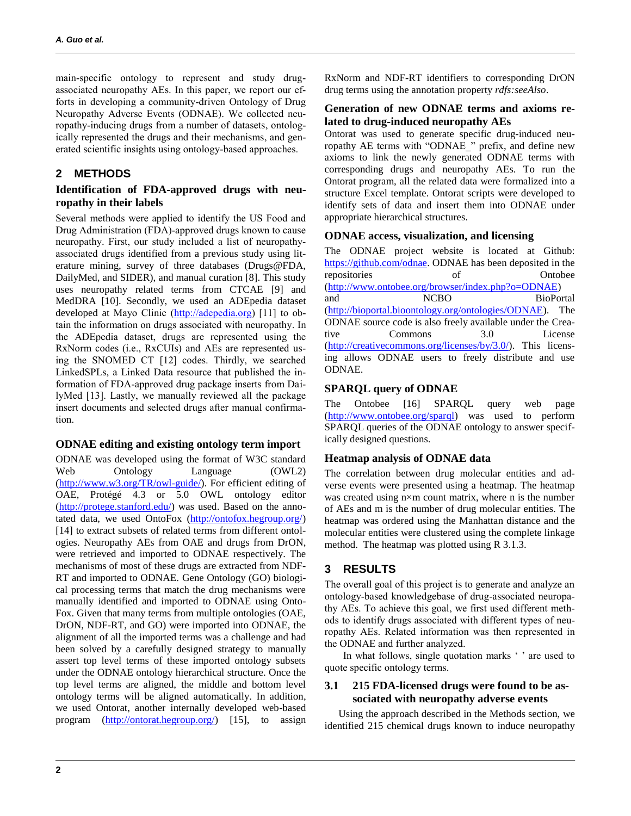main-specific ontology to represent and study drugassociated neuropathy AEs. In this paper, we report our efforts in developing a community-driven Ontology of Drug Neuropathy Adverse Events (ODNAE). We collected neuropathy-inducing drugs from a number of datasets, ontologically represented the drugs and their mechanisms, and generated scientific insights using ontology-based approaches.

# **2 METHODS**

## **Identification of FDA-approved drugs with neuropathy in their labels**

Several methods were applied to identify the US Food and Drug Administration (FDA)-approved drugs known to cause neuropathy. First, our study included a list of neuropathyassociated drugs identified from a previous study using literature mining, survey of three databases (Drugs@FDA, DailyMed, and SIDER), and manual curation [8]. This study uses neuropathy related terms from CTCAE [9] and MedDRA [10]. Secondly, we used an ADEpedia dataset developed at Mayo Clinic [\(http://adepedia.org\)](http://informatics.mayo.edu/adepedia) [11] to obtain the information on drugs associated with neuropathy. In the ADEpedia dataset, drugs are represented using the RxNorm codes (i.e., RxCUIs) and AEs are represented using the SNOMED CT [12] codes. Thirdly, we searched LinkedSPLs, a Linked Data resource that published the information of FDA-approved drug package inserts from DailyMed [13]. Lastly, we manually reviewed all the package insert documents and selected drugs after manual confirmation.

## **ODNAE editing and existing ontology term import**

ODNAE was developed using the format of W3C standard Web Ontology Language  $(OWL2)$ [\(http://www.w3.org/TR/owl-guide/\)](http://www.google.com/url?q=http%3A%2F%2Fwww.w3.org%2FTR%2Fowl-guide%2F&sa=D&sntz=1&usg=AFQjCNG4GQ0Ki2PEl-aJGv22eOzTwdzHZg). For efficient editing of OAE, Protégé 4.3 or 5.0 OWL ontology editor [\(http://protege.stanford.edu/\)](http://www.google.com/url?q=http%3A%2F%2Fprotege.stanford.edu%2F&sa=D&sntz=1&usg=AFQjCNEf87xk3h0vIesWH-a_IUAawxvVGw) was used. Based on the annotated data, we used OntoFox [\(http://ontofox.hegroup.org/\)](http://ontofox.hegroup.org/) [14] to extract subsets of related terms from different ontologies. Neuropathy AEs from OAE and drugs from DrON, were retrieved and imported to ODNAE respectively. The mechanisms of most of these drugs are extracted from NDF-RT and imported to ODNAE. Gene Ontology (GO) biological processing terms that match the drug mechanisms were manually identified and imported to ODNAE using Onto-Fox. Given that many terms from multiple ontologies (OAE, DrON, NDF-RT, and GO) were imported into ODNAE, the alignment of all the imported terms was a challenge and had been solved by a carefully designed strategy to manually assert top level terms of these imported ontology subsets under the ODNAE ontology hierarchical structure. Once the top level terms are aligned, the middle and bottom level ontology terms will be aligned automatically. In addition, we used Ontorat, another internally developed web-based program [\(http://ontorat.hegroup.org/\)](http://ontorat.hegroup.org/) [15], to assign RxNorm and NDF-RT identifiers to corresponding DrON drug terms using the annotation property *rdfs:seeAlso*.

## **Generation of new ODNAE terms and axioms related to drug-induced neuropathy AEs**

Ontorat was used to generate specific drug-induced neuropathy AE terms with "ODNAE\_" prefix, and define new axioms to link the newly generated ODNAE terms with corresponding drugs and neuropathy AEs. To run the Ontorat program, all the related data were formalized into a structure Excel template. Ontorat scripts were developed to identify sets of data and insert them into ODNAE under appropriate hierarchical structures.

## **ODNAE access, visualization, and licensing**

The ODNAE project website is located at Github: [https://github.com/odnae.](https://github.com/odnae) ODNAE has been deposited in the repositories of Ontobee [\(http://www.ontobee.org/browser/index.php?o=ODNAE\)](http://www.ontobee.org/browser/index.php?o=ODNAE) and NCBO BioPortal [\(http://bioportal.bioontology.org/ontologies/ODNAE\)](http://bioportal.bioontology.org/ontologies/ODNAE). The ODNAE source code is also freely available under the Creative Commons 3.0 License [\(http://creativecommons.org/licenses/by/3.0/\)](http://creativecommons.org/licenses/by/3.0/). This licensing allows ODNAE users to freely distribute and use ODNAE.

# **SPARQL query of ODNAE**

The Ontobee [16] SPARQL query web page [\(http://www.ontobee.org/sparql\)](http://www.ontobee.org/sparql) was used to perform SPARQL queries of the ODNAE ontology to answer specifically designed questions.

# **Heatmap analysis of ODNAE data**

The correlation between drug molecular entities and adverse events were presented using a heatmap. The heatmap was created using n×m count matrix, where n is the number of AEs and m is the number of drug molecular entities. The heatmap was ordered using the Manhattan distance and the molecular entities were clustered using the complete linkage method. The heatmap was plotted using R 3.1.3.

# **3 RESULTS**

The overall goal of this project is to generate and analyze an ontology-based knowledgebase of drug-associated neuropathy AEs. To achieve this goal, we first used different methods to identify drugs associated with different types of neuropathy AEs. Related information was then represented in the ODNAE and further analyzed.

In what follows, single quotation marks ' ' are used to quote specific ontology terms.

# **3.1 215 FDA-licensed drugs were found to be associated with neuropathy adverse events**

Using the approach described in the Methods section, we identified 215 chemical drugs known to induce neuropathy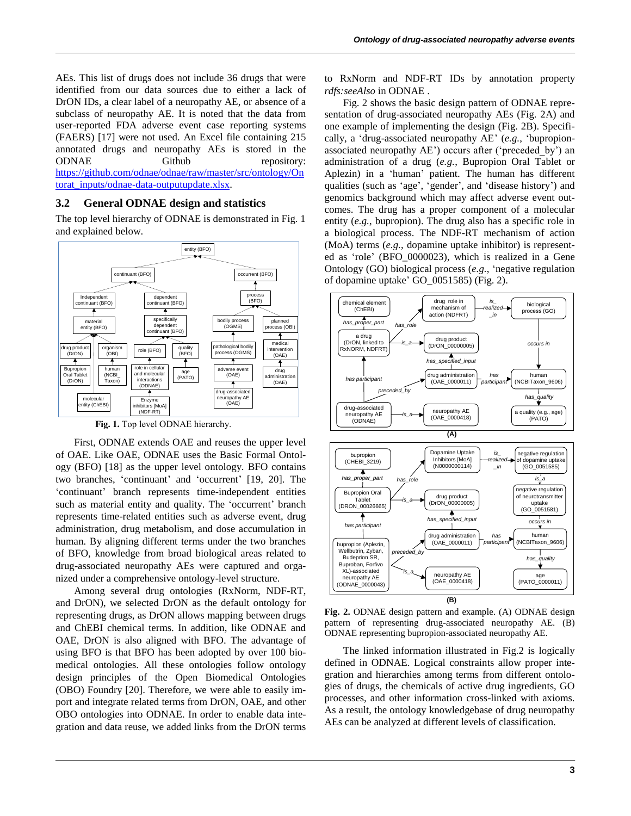AEs. This list of drugs does not include 36 drugs that were identified from our data sources due to either a lack of DrON IDs, a clear label of a neuropathy AE, or absence of a subclass of neuropathy AE. It is noted that the data from user-reported FDA adverse event case reporting systems (FAERS) [17] were not used. An Excel file containing 215 annotated drugs and neuropathy AEs is stored in the ODNAE Github repository: [https://github.com/odnae/odnae/raw/master/src/ontology/On](https://github.com/odnae/odnae/raw/master/src/ontology/Ontorat_inputs/odnae-data-outputupdate.xlsx) [torat\\_inputs/odnae-data-outputupdate.xlsx.](https://github.com/odnae/odnae/raw/master/src/ontology/Ontorat_inputs/odnae-data-outputupdate.xlsx)

#### **3.2 General ODNAE design and statistics**

The top level hierarchy of ODNAE is demonstrated in Fig. 1 and explained below.



Fig. 1. Top level ODNAE hierarchy.

First, ODNAE extends OAE and reuses the upper level of OAE. Like OAE, ODNAE uses the Basic Formal Ontology (BFO) [18] as the upper level ontology. BFO contains two branches, 'continuant' and 'occurrent' [19, 20]. The 'continuant' branch represents time-independent entities such as material entity and quality. The 'occurrent' branch represents time-related entities such as adverse event, drug administration, drug metabolism, and dose accumulation in human. By aligning different terms under the two branches of BFO, knowledge from broad biological areas related to drug-associated neuropathy AEs were captured and organized under a comprehensive ontology-level structure.

Among several drug ontologies (RxNorm, NDF-RT, and DrON), we selected DrON as the default ontology for representing drugs, as DrON allows mapping between drugs and ChEBI chemical terms. In addition, like ODNAE and OAE, DrON is also aligned with BFO. The advantage of using BFO is that BFO has been adopted by over 100 biomedical ontologies. All these ontologies follow ontology design principles of the Open Biomedical Ontologies (OBO) Foundry [20]. Therefore, we were able to easily import and integrate related terms from DrON, OAE, and other OBO ontologies into ODNAE. In order to enable data integration and data reuse, we added links from the DrON terms to RxNorm and NDF-RT IDs by annotation property *rdfs:seeAlso* in ODNAE .

Fig. 2 shows the basic design pattern of ODNAE representation of drug-associated neuropathy AEs (Fig. 2A) and one example of implementing the design (Fig. 2B). Specifically, a 'drug-associated neuropathy AE' (*e.g.*, 'bupropionassociated neuropathy AE') occurs after ('preceded\_by') an administration of a drug (*e.g.*, Bupropion Oral Tablet or Aplezin) in a 'human' patient. The human has different qualities (such as 'age', 'gender', and 'disease history') and genomics background which may affect adverse event outcomes. The drug has a proper component of a molecular entity (*e.g.*, bupropion). The drug also has a specific role in a biological process. The NDF-RT mechanism of action (MoA) terms (*e.g.*, dopamine uptake inhibitor) is represented as 'role' (BFO\_0000023), which is realized in a Gene Ontology (GO) biological process (*e.g.*, 'negative regulation of dopamine uptake' GO\_0051585) (Fig. 2).



**Fig. 2.** ODNAE design pattern and example. (A) ODNAE design pattern of representing drug-associated neuropathy AE. (B) ODNAE representing bupropion-associated neuropathy AE.

The linked information illustrated in Fig.2 is logically defined in ODNAE. Logical constraints allow proper integration and hierarchies among terms from different ontologies of drugs, the chemicals of active drug ingredients, GO processes, and other information cross-linked with axioms. As a result, the ontology knowledgebase of drug neuropathy AEs can be analyzed at different levels of classification.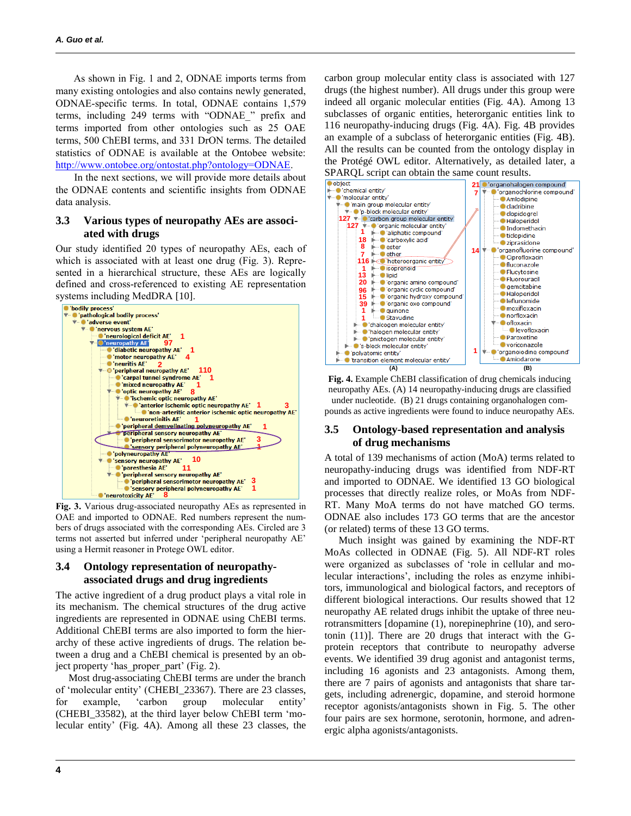As shown in Fig. 1 and 2, ODNAE imports terms from many existing ontologies and also contains newly generated, ODNAE-specific terms. In total, ODNAE contains 1,579 terms, including 249 terms with "ODNAE\_" prefix and terms imported from other ontologies such as 25 OAE terms, 500 ChEBI terms, and 331 DrON terms. The detailed statistics of ODNAE is available at the Ontobee website: [http://www.ontobee.org/ontostat.php?ontology=ODNAE.](http://www.ontobee.org/ontostat.php?ontology=ODNAE)

In the next sections, we will provide more details about the ODNAE contents and scientific insights from ODNAE data analysis.

## **3.3 Various types of neuropathy AEs are associated with drugs**

Our study identified 20 types of neuropathy AEs, each of which is associated with at least one drug (Fig. 3). Represented in a hierarchical structure, these AEs are logically defined and cross-referenced to existing AE representation systems including MedDRA [10].



**Fig. 3.** Various drug-associated neuropathy AEs as represented in OAE and imported to ODNAE. Red numbers represent the numbers of drugs associated with the corresponding AEs. Circled are 3 terms not asserted but inferred under 'peripheral neuropathy AE' using a Hermit reasoner in Protege OWL editor.

## **3.4 Ontology representation of neuropathyassociated drugs and drug ingredients**

The active ingredient of a drug product plays a vital role in its mechanism. The chemical structures of the drug active ingredients are represented in ODNAE using ChEBI terms. Additional ChEBI terms are also imported to form the hierarchy of these active ingredients of drugs. The relation between a drug and a ChEBI chemical is presented by an object property 'has proper part' (Fig. 2).

 Most drug-associating ChEBI terms are under the branch of 'molecular entity' (CHEBI\_23367). There are 23 classes, for example, 'carbon group molecular entity' (CHEBI\_33582), at the third layer below ChEBI term 'molecular entity' (Fig. 4A). Among all these 23 classes, the carbon group molecular entity class is associated with 127 drugs (the highest number). All drugs under this group were indeed all organic molecular entities (Fig. 4A). Among 13 subclasses of organic entities, heterorganic entities link to 116 neuropathy-inducing drugs (Fig. 4A). Fig. 4B provides an example of a subclass of heterorganic entities (Fig. 4B). All the results can be counted from the ontology display in the Protégé OWL editor. Alternatively, as detailed later, a SPARQL script can obtain the same count results.



**Fig. 4.** Example ChEBI classification of drug chemicals inducing neuropathy AEs. (A) 14 neuropathy-inducing drugs are classified under nucleotide. (B) 21 drugs containing organohalogen compounds as active ingredients were found to induce neuropathy AEs.

## **3.5 Ontology-based representation and analysis of drug mechanisms**

A total of 139 mechanisms of action (MoA) terms related to neuropathy-inducing drugs was identified from NDF-RT and imported to ODNAE. We identified 13 GO biological processes that directly realize roles, or MoAs from NDF-RT. Many MoA terms do not have matched GO terms. ODNAE also includes 173 GO terms that are the ancestor (or related) terms of these 13 GO terms.

Much insight was gained by examining the NDF-RT MoAs collected in ODNAE (Fig. 5). All NDF-RT roles were organized as subclasses of 'role in cellular and molecular interactions', including the roles as enzyme inhibitors, immunological and biological factors, and receptors of different biological interactions. Our results showed that 12 neuropathy AE related drugs inhibit the uptake of three neurotransmitters [dopamine (1), norepinephrine (10), and serotonin (11)]. There are 20 drugs that interact with the Gprotein receptors that contribute to neuropathy adverse events. We identified 39 drug agonist and antagonist terms, including 16 agonists and 23 antagonists. Among them, there are 7 pairs of agonists and antagonists that share targets, including adrenergic, dopamine, and steroid hormone receptor agonists/antagonists shown in Fig. 5. The other four pairs are sex hormone, serotonin, hormone, and adrenergic alpha agonists/antagonists.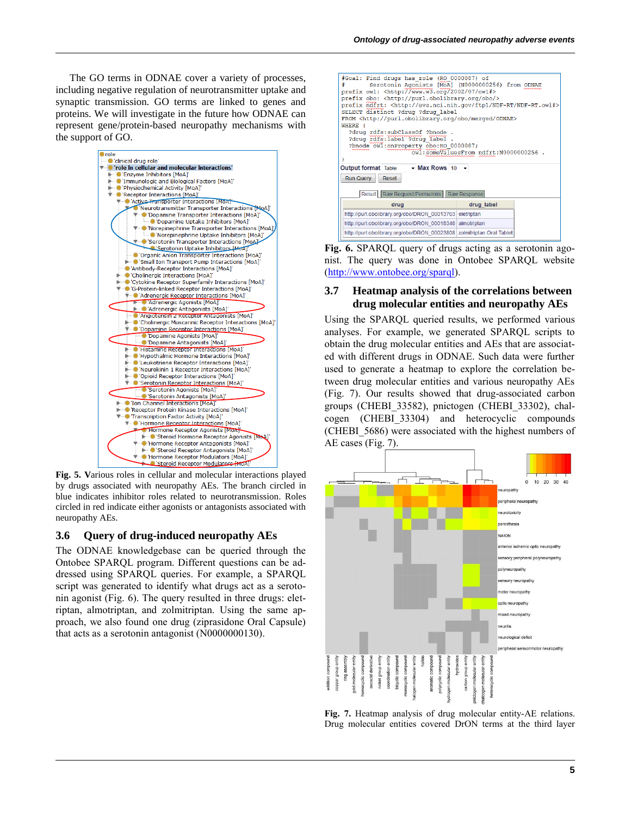The GO terms in ODNAE cover a variety of processes, including negative regulation of neurotransmitter uptake and synaptic transmission. GO terms are linked to genes and proteins. We will investigate in the future how ODNAE can represent gene/protein-based neuropathy mechanisms with the support of GO.



**Fig. 5. V**arious roles in cellular and molecular interactions played by drugs associated with neuropathy AEs. The branch circled in blue indicates inhibitor roles related to neurotransmission. Roles circled in red indicate either agonists or antagonists associated with neuropathy AEs.

## **3.6 Query of drug-induced neuropathy AEs**

The ODNAE knowledgebase can be queried through the Ontobee SPARQL program. Different questions can be addressed using SPARQL queries. For example, a SPARQL script was generated to identify what drugs act as a serotonin agonist (Fig. 6). The query resulted in three drugs: eletriptan, almotriptan, and zolmitriptan. Using the same approach, we also found one drug (ziprasidone Oral Capsule) that acts as a serotonin antagonist (N0000000130).

| #Goal: Find drugs has role (RO 0000087) of                                        |
|-----------------------------------------------------------------------------------|
| Serotonin Agonists [MoA] (N0000000256) from ODNAE<br>≢                            |
| prefix owl: <http: 07="" 2002="" owl#="" www.w3.org=""></http:>                   |
| prefix obo: <http: obo="" purl.obolibrary.org=""></http:>                         |
| prefix ndfrt: <http: evs.nci.nih.gov="" ftp1="" ndf-rt="" ndf-rt.owl#=""></http:> |
| SELECT distinct ?drug ?drug label                                                 |
| FROM <http: merged="" obo="" odnae="" purl.obolibrary.org=""></http:>             |
| WHERE {                                                                           |
| ?drug rdfs:subClassOf ?bnode .<br>?drug rdfs:label ?drug label .                  |
| ?bnode owl:onProperty obo:RO_0000087;                                             |
| owl:someValuesFrom ndfrt:N0000000256 .                                            |
|                                                                                   |
|                                                                                   |
| Output format Table - Max Rows 10 -                                               |
| Run Query<br>Reset                                                                |
|                                                                                   |
| Result Raw Request/Permalinks   Raw Response                                      |
| drug label<br>drug                                                                |
| http://purl.obolibrary.org/obo/DRON_00013763 eletriptan                           |
| http://purl.obolibrary.org/obo/DRON 00018348 almotriptan                          |
| http://purl.obolibrary.org/obo/DRON 00023808 zolmitriptan Oral Tablet             |

**Fig. 6.** SPARQL query of drugs acting as a serotonin agonist. The query was done in Ontobee SPARQL website [\(http://www.ontobee.org/sparql\)](http://www.ontobee.org/sparql).

## **3.7 Heatmap analysis of the correlations between drug molecular entities and neuropathy AEs**

Using the SPARQL queried results, we performed various analyses. For example, we generated SPARQL scripts to obtain the drug molecular entities and AEs that are associated with different drugs in ODNAE. Such data were further used to generate a heatmap to explore the correlation between drug molecular entities and various neuropathy AEs (Fig. 7). Our results showed that drug-associated carbon groups (CHEBI\_33582), pnictogen (CHEBI\_33302), chalcogen (CHEBI\_33304) and heterocyclic compounds (CHEBI\_5686) were associated with the highest numbers of AE cases (Fig. 7).



**Fig. 7.** Heatmap analysis of drug molecular entity-AE relations. Drug molecular entities covered DrON terms at the third layer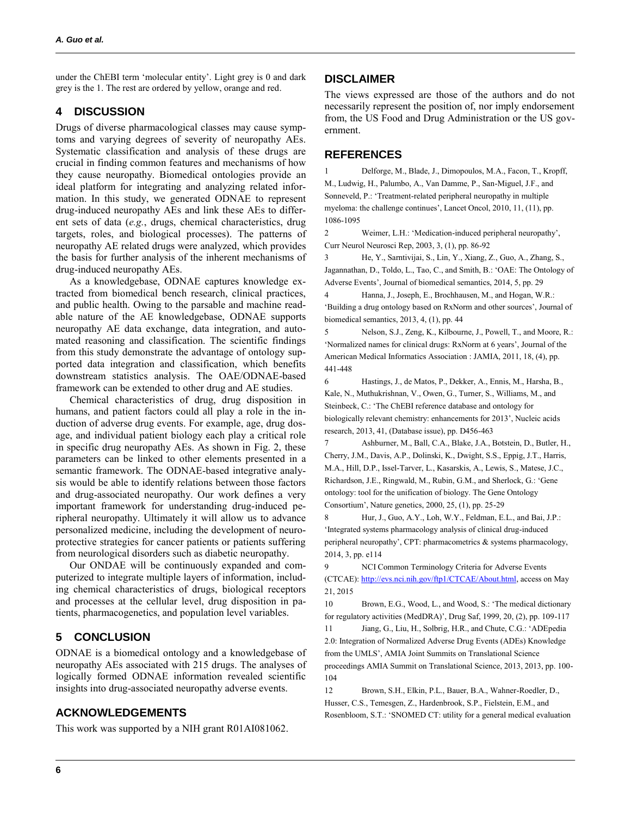under the ChEBI term 'molecular entity'. Light grey is 0 and dark grey is the 1. The rest are ordered by yellow, orange and red.

## **4 DISCUSSION**

Drugs of diverse pharmacological classes may cause symptoms and varying degrees of severity of neuropathy AEs. Systematic classification and analysis of these drugs are crucial in finding common features and mechanisms of how they cause neuropathy. Biomedical ontologies provide an ideal platform for integrating and analyzing related information. In this study, we generated ODNAE to represent drug-induced neuropathy AEs and link these AEs to different sets of data (*e.g.*, drugs, chemical characteristics, drug targets, roles, and biological processes). The patterns of neuropathy AE related drugs were analyzed, which provides the basis for further analysis of the inherent mechanisms of drug-induced neuropathy AEs.

As a knowledgebase, ODNAE captures knowledge extracted from biomedical bench research, clinical practices, and public health. Owing to the parsable and machine readable nature of the AE knowledgebase, ODNAE supports neuropathy AE data exchange, data integration, and automated reasoning and classification. The scientific findings from this study demonstrate the advantage of ontology supported data integration and classification, which benefits downstream statistics analysis. The OAE/ODNAE-based framework can be extended to other drug and AE studies.

Chemical characteristics of drug, drug disposition in humans, and patient factors could all play a role in the induction of adverse drug events. For example, age, drug dosage, and individual patient biology each play a critical role in specific drug neuropathy AEs. As shown in Fig. 2, these parameters can be linked to other elements presented in a semantic framework. The ODNAE-based integrative analysis would be able to identify relations between those factors and drug-associated neuropathy. Our work defines a very important framework for understanding drug-induced peripheral neuropathy. Ultimately it will allow us to advance personalized medicine, including the development of neuroprotective strategies for cancer patients or patients suffering from neurological disorders such as diabetic neuropathy.

Our ONDAE will be continuously expanded and computerized to integrate multiple layers of information, including chemical characteristics of drugs, biological receptors and processes at the cellular level, drug disposition in patients, pharmacogenetics, and population level variables.

# **5 CONCLUSION**

ODNAE is a biomedical ontology and a knowledgebase of neuropathy AEs associated with 215 drugs. The analyses of logically formed ODNAE information revealed scientific insights into drug-associated neuropathy adverse events.

# **ACKNOWLEDGEMENTS**

This work was supported by a NIH grant R01AI081062.

## **DISCLAIMER**

The views expressed are those of the authors and do not necessarily represent the position of, nor imply endorsement from, the US Food and Drug Administration or the US government.

## **REFERENCES**

1 Delforge, M., Blade, J., Dimopoulos, M.A., Facon, T., Kropff, M., Ludwig, H., Palumbo, A., Van Damme, P., San-Miguel, J.F., and Sonneveld, P.: 'Treatment-related peripheral neuropathy in multiple myeloma: the challenge continues', Lancet Oncol, 2010, 11, (11), pp. 1086-1095

2 Weimer, L.H.: 'Medication-induced peripheral neuropathy', Curr Neurol Neurosci Rep, 2003, 3, (1), pp. 86-92

3 He, Y., Sarntivijai, S., Lin, Y., Xiang, Z., Guo, A., Zhang, S., Jagannathan, D., Toldo, L., Tao, C., and Smith, B.: 'OAE: The Ontology of Adverse Events', Journal of biomedical semantics, 2014, 5, pp. 29

4 Hanna, J., Joseph, E., Brochhausen, M., and Hogan, W.R.: 'Building a drug ontology based on RxNorm and other sources', Journal of biomedical semantics, 2013, 4, (1), pp. 44

5 Nelson, S.J., Zeng, K., Kilbourne, J., Powell, T., and Moore, R.: 'Normalized names for clinical drugs: RxNorm at 6 years', Journal of the American Medical Informatics Association : JAMIA, 2011, 18, (4), pp. 441-448

6 Hastings, J., de Matos, P., Dekker, A., Ennis, M., Harsha, B., Kale, N., Muthukrishnan, V., Owen, G., Turner, S., Williams, M., and Steinbeck, C.: 'The ChEBI reference database and ontology for biologically relevant chemistry: enhancements for 2013', Nucleic acids research, 2013, 41, (Database issue), pp. D456-463

7 Ashburner, M., Ball, C.A., Blake, J.A., Botstein, D., Butler, H., Cherry, J.M., Davis, A.P., Dolinski, K., Dwight, S.S., Eppig, J.T., Harris, M.A., Hill, D.P., Issel-Tarver, L., Kasarskis, A., Lewis, S., Matese, J.C., Richardson, J.E., Ringwald, M., Rubin, G.M., and Sherlock, G.: 'Gene ontology: tool for the unification of biology. The Gene Ontology Consortium', Nature genetics, 2000, 25, (1), pp. 25-29

8 Hur, J., Guo, A.Y., Loh, W.Y., Feldman, E.L., and Bai, J.P.: 'Integrated systems pharmacology analysis of clinical drug-induced peripheral neuropathy', CPT: pharmacometrics & systems pharmacology, 2014, 3, pp. e114

9 NCI Common Terminology Criteria for Adverse Events (CTCAE): [http://evs.nci.nih.gov/ftp1/CTCAE/About.html,](http://evs.nci.nih.gov/ftp1/CTCAE/About.html) access on May 21, 2015

10 Brown, E.G., Wood, L., and Wood, S.: 'The medical dictionary for regulatory activities (MedDRA)', Drug Saf, 1999, 20, (2), pp. 109-117

11 Jiang, G., Liu, H., Solbrig, H.R., and Chute, C.G.: 'ADEpedia 2.0: Integration of Normalized Adverse Drug Events (ADEs) Knowledge from the UMLS', AMIA Joint Summits on Translational Science proceedings AMIA Summit on Translational Science, 2013, 2013, pp. 100- 104

12 Brown, S.H., Elkin, P.L., Bauer, B.A., Wahner-Roedler, D., Husser, C.S., Temesgen, Z., Hardenbrook, S.P., Fielstein, E.M., and Rosenbloom, S.T.: 'SNOMED CT: utility for a general medical evaluation